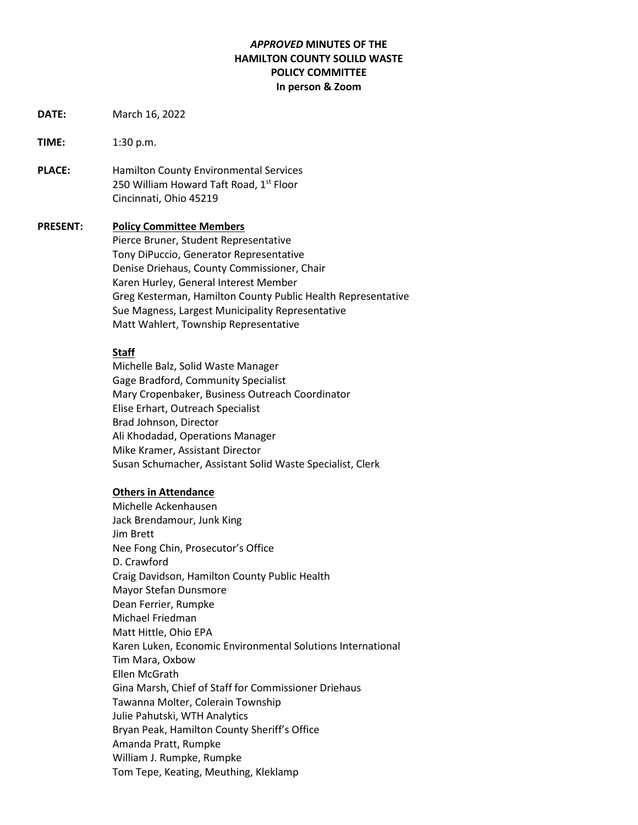# *APPROVED* **MINUTES OF THE HAMILTON COUNTY SOLILD WASTE POLICY COMMITTEE In person & Zoom**

- **DATE:** March 16, 2022
- **TIME:** 1:30 p.m.
- **PLACE:** Hamilton County Environmental Services 250 William Howard Taft Road, 1<sup>st</sup> Floor Cincinnati, Ohio 45219

#### **PRESENT: Policy Committee Members**

Pierce Bruner, Student Representative Tony DiPuccio, Generator Representative Denise Driehaus, County Commissioner, Chair Karen Hurley, General Interest Member Greg Kesterman, Hamilton County Public Health Representative Sue Magness, Largest Municipality Representative Matt Wahlert, Township Representative

#### **Staff**

Michelle Balz, Solid Waste Manager Gage Bradford, Community Specialist Mary Cropenbaker, Business Outreach Coordinator Elise Erhart, Outreach Specialist Brad Johnson, Director Ali Khodadad, Operations Manager Mike Kramer, Assistant Director Susan Schumacher, Assistant Solid Waste Specialist, Clerk

#### **Others in Attendance**

Michelle Ackenhausen Jack Brendamour, Junk King Jim Brett Nee Fong Chin, Prosecutor's Office D. Crawford Craig Davidson, Hamilton County Public Health Mayor Stefan Dunsmore Dean Ferrier, Rumpke Michael Friedman Matt Hittle, Ohio EPA Karen Luken, Economic Environmental Solutions International Tim Mara, Oxbow Ellen McGrath Gina Marsh, Chief of Staff for Commissioner Driehaus Tawanna Molter, Colerain Township Julie Pahutski, WTH Analytics Bryan Peak, Hamilton County Sheriff's Office Amanda Pratt, Rumpke William J. Rumpke, Rumpke Tom Tepe, Keating, Meuthing, Kleklamp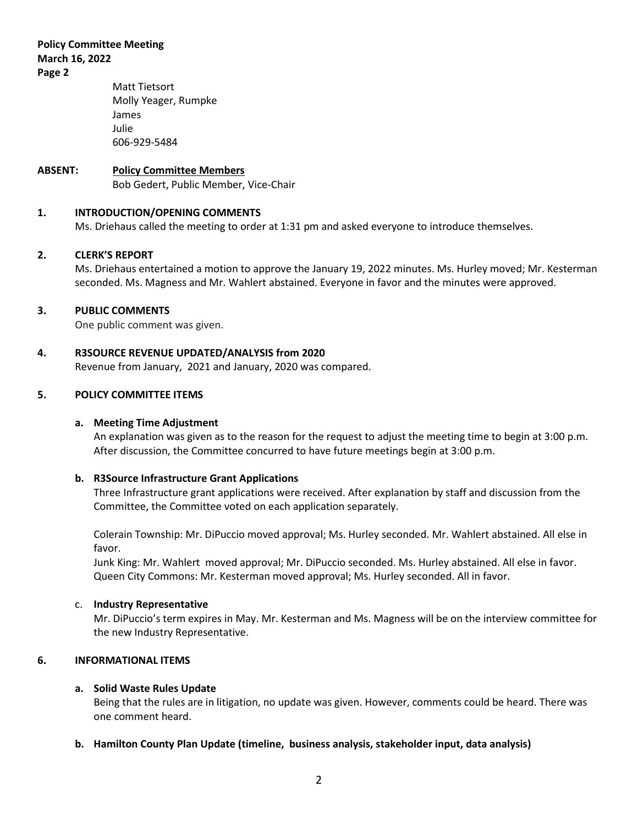**Policy Committee Meeting March 16, 2022 Page 2**

# Matt Tietsort Molly Yeager, Rumpke James Julie 606-929-5484

# **ABSENT: Policy Committee Members**

Bob Gedert, Public Member, Vice-Chair

# **1. INTRODUCTION/OPENING COMMENTS**

Ms. Driehaus called the meeting to order at 1:31 pm and asked everyone to introduce themselves.

## **2. CLERK'S REPORT**

Ms. Driehaus entertained a motion to approve the January 19, 2022 minutes. Ms. Hurley moved; Mr. Kesterman seconded. Ms. Magness and Mr. Wahlert abstained. Everyone in favor and the minutes were approved.

## **3. PUBLIC COMMENTS**

One public comment was given.

## **4. R3SOURCE REVENUE UPDATED/ANALYSIS from 2020**

Revenue from January, 2021 and January, 2020 was compared.

# **5. POLICY COMMITTEE ITEMS**

#### **a. Meeting Time Adjustment**

An explanation was given as to the reason for the request to adjust the meeting time to begin at 3:00 p.m. After discussion, the Committee concurred to have future meetings begin at 3:00 p.m.

#### **b. R3Source Infrastructure Grant Applications**

Three Infrastructure grant applications were received. After explanation by staff and discussion from the Committee, the Committee voted on each application separately.

Colerain Township: Mr. DiPuccio moved approval; Ms. Hurley seconded. Mr. Wahlert abstained. All else in favor.

Junk King: Mr. Wahlert moved approval; Mr. DiPuccio seconded. Ms. Hurley abstained. All else in favor. Queen City Commons: Mr. Kesterman moved approval; Ms. Hurley seconded. All in favor.

#### c. **Industry Representative**

Mr. DiPuccio's term expires in May. Mr. Kesterman and Ms. Magness will be on the interview committee for the new Industry Representative.

## **6. INFORMATIONAL ITEMS**

#### **a. Solid Waste Rules Update**

Being that the rules are in litigation, no update was given. However, comments could be heard. There was one comment heard.

#### **b. Hamilton County Plan Update (timeline, business analysis, stakeholder input, data analysis)**